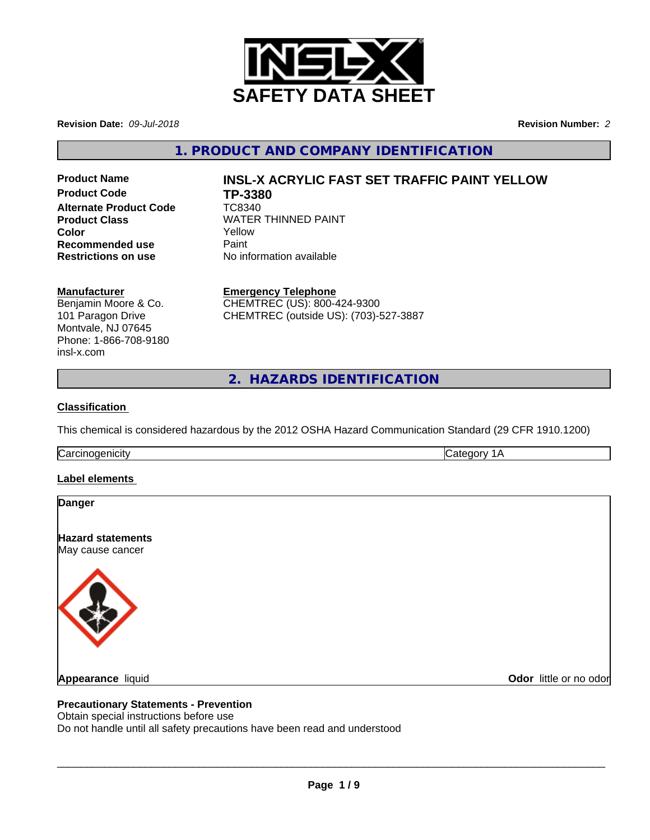

**Revision Date:** *09-Jul-2018* **Revision Number:** *2*

**1. PRODUCT AND COMPANY IDENTIFICATION**

**Product Code TP-3380 Alternate Product Code** TC8340 **Recommended use** Paint<br> **Restrictions on use No information available Restrictions on use** 

# **Product Name INSL-X ACRYLIC FAST SET TRAFFIC PAINT YELLOW**

**Product Class WATER THINNED PAINT Color** Yellow

# **Manufacturer**

Benjamin Moore & Co. 101 Paragon Drive Montvale, NJ 07645 Phone: 1-866-708-9180 insl-x.com

**Emergency Telephone** CHEMTREC (US): 800-424-9300 CHEMTREC (outside US): (703)-527-3887

**2. HAZARDS IDENTIFICATION**

# **Classification**

This chemical is considered hazardous by the 2012 OSHA Hazard Communication Standard (29 CFR 1910.1200)

Carcinogenicity **Category 1A** 

## **Label elements**

| <b>Danger</b>                                |  |  |
|----------------------------------------------|--|--|
| <b>Hazard statements</b><br>May cause cancer |  |  |
|                                              |  |  |
|                                              |  |  |

# **Appearance** liquid

**Odor** little or no odor

## **Precautionary Statements - Prevention**

Obtain special instructions before use

Do not handle until all safety precautions have been read and understood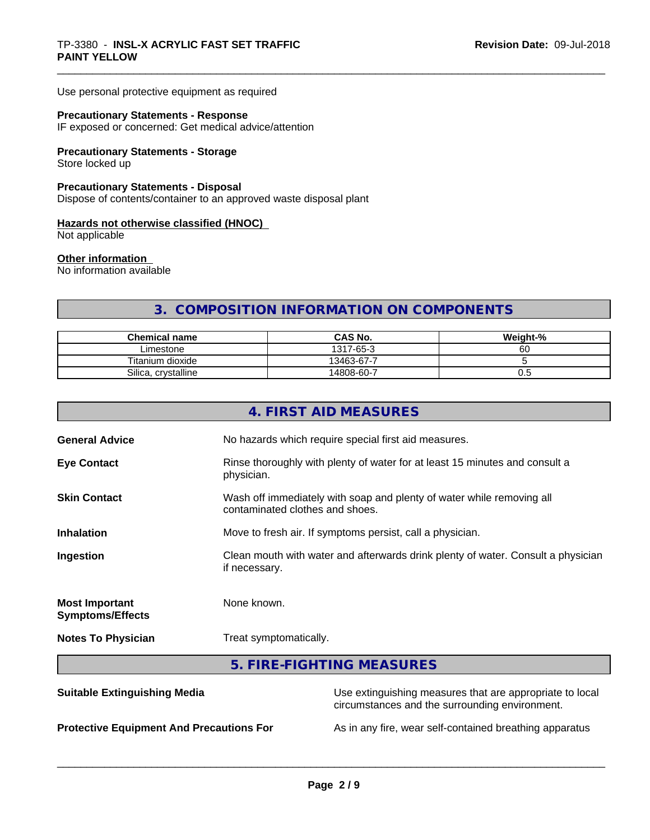Use personal protective equipment as required

#### **Precautionary Statements - Response**

IF exposed or concerned: Get medical advice/attention

# **Precautionary Statements - Storage**

Store locked up

# **Precautionary Statements - Disposal**

Dispose of contents/container to an approved waste disposal plant

#### **Hazards not otherwise classified (HNOC)**

Not applicable

# **Other information**

No information available

# **3. COMPOSITION INFORMATION ON COMPONENTS**

| <b>Chemical name</b>   | <b>CAS No.</b> | Weight-% |
|------------------------|----------------|----------|
| ∟imestone              | 7-65-3<br>1317 | ~~<br>бC |
| Titanium dioxide       | 13463-67-7     |          |
| Silica.<br>crystalline | 14808-60-7     | v.J      |

|                                                  | 4. FIRST AID MEASURES                                                                                      |  |  |
|--------------------------------------------------|------------------------------------------------------------------------------------------------------------|--|--|
| <b>General Advice</b>                            | No hazards which require special first aid measures.                                                       |  |  |
| <b>Eye Contact</b>                               | Rinse thoroughly with plenty of water for at least 15 minutes and consult a<br>physician.                  |  |  |
| <b>Skin Contact</b>                              | Wash off immediately with soap and plenty of water while removing all<br>contaminated clothes and shoes.   |  |  |
| <b>Inhalation</b>                                | Move to fresh air. If symptoms persist, call a physician.                                                  |  |  |
| Ingestion                                        | Clean mouth with water and afterwards drink plenty of water. Consult a physician<br>if necessary.          |  |  |
| <b>Most Important</b><br><b>Symptoms/Effects</b> | None known.                                                                                                |  |  |
| <b>Notes To Physician</b>                        | Treat symptomatically.                                                                                     |  |  |
|                                                  | 5. FIRE-FIGHTING MEASURES                                                                                  |  |  |
| <b>Suitable Extinguishing Media</b>              | Use extinguishing measures that are appropriate to local<br>circumstances and the surrounding environment. |  |  |

**Protective Equipment And Precautions For** As in any fire, wear self-contained breathing apparatus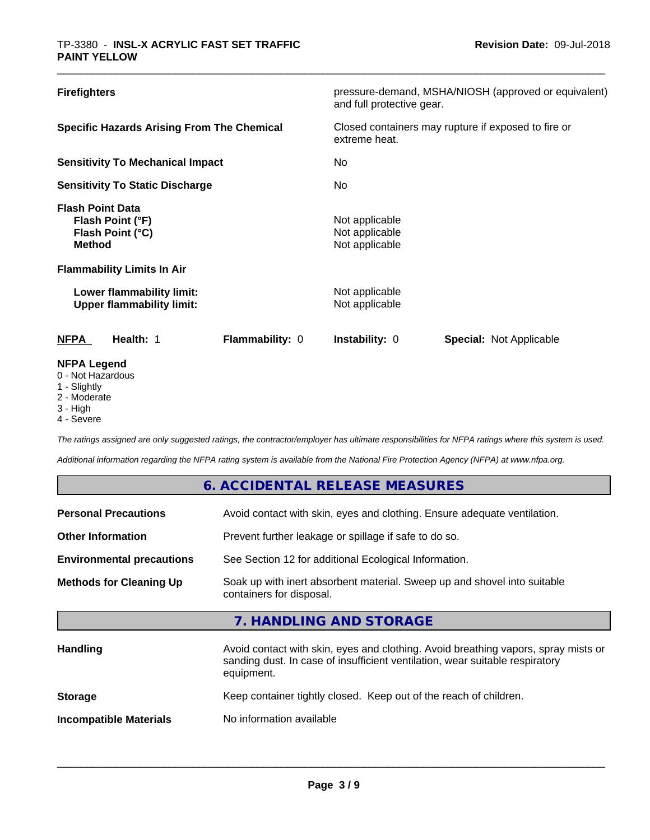| <b>Firefighters</b>                                                                                                   | pressure-demand, MSHA/NIOSH (approved or equivalent)<br>and full protective gear. |
|-----------------------------------------------------------------------------------------------------------------------|-----------------------------------------------------------------------------------|
| <b>Specific Hazards Arising From The Chemical</b>                                                                     | Closed containers may rupture if exposed to fire or<br>extreme heat.              |
| <b>Sensitivity To Mechanical Impact</b>                                                                               | No.                                                                               |
| <b>Sensitivity To Static Discharge</b>                                                                                | No.                                                                               |
| <b>Flash Point Data</b><br>Flash Point (°F)<br>Flash Point (°C)<br><b>Method</b><br><b>Flammability Limits In Air</b> | Not applicable<br>Not applicable<br>Not applicable                                |
| Lower flammability limit:<br><b>Upper flammability limit:</b>                                                         | Not applicable<br>Not applicable                                                  |
| Flammability: 0<br><b>NFPA</b><br>Health: 1                                                                           | <b>Instability: 0</b><br>Special: Not Applicable                                  |
| <b>NFPA Legend</b><br>0 - Not Hazardous                                                                               |                                                                                   |

- 
- 1 Slightly
- 2 Moderate
- 3 High
- 4 Severe

*The ratings assigned are only suggested ratings, the contractor/employer has ultimate responsibilities for NFPA ratings where this system is used.*

*Additional information regarding the NFPA rating system is available from the National Fire Protection Agency (NFPA) at www.nfpa.org.*

|                                  | 6. ACCIDENTAL RELEASE MEASURES                                                                                                                                                   |
|----------------------------------|----------------------------------------------------------------------------------------------------------------------------------------------------------------------------------|
| <b>Personal Precautions</b>      | Avoid contact with skin, eyes and clothing. Ensure adequate ventilation.                                                                                                         |
| <b>Other Information</b>         | Prevent further leakage or spillage if safe to do so.                                                                                                                            |
| <b>Environmental precautions</b> | See Section 12 for additional Ecological Information.                                                                                                                            |
| <b>Methods for Cleaning Up</b>   | Soak up with inert absorbent material. Sweep up and shovel into suitable<br>containers for disposal.                                                                             |
|                                  | 7. HANDLING AND STORAGE                                                                                                                                                          |
| <b>Handling</b>                  | Avoid contact with skin, eyes and clothing. Avoid breathing vapors, spray mists or<br>sanding dust. In case of insufficient ventilation, wear suitable respiratory<br>equipment. |
| <b>Storage</b>                   | Keep container tightly closed. Keep out of the reach of children.                                                                                                                |
| <b>Incompatible Materials</b>    | No information available                                                                                                                                                         |
|                                  |                                                                                                                                                                                  |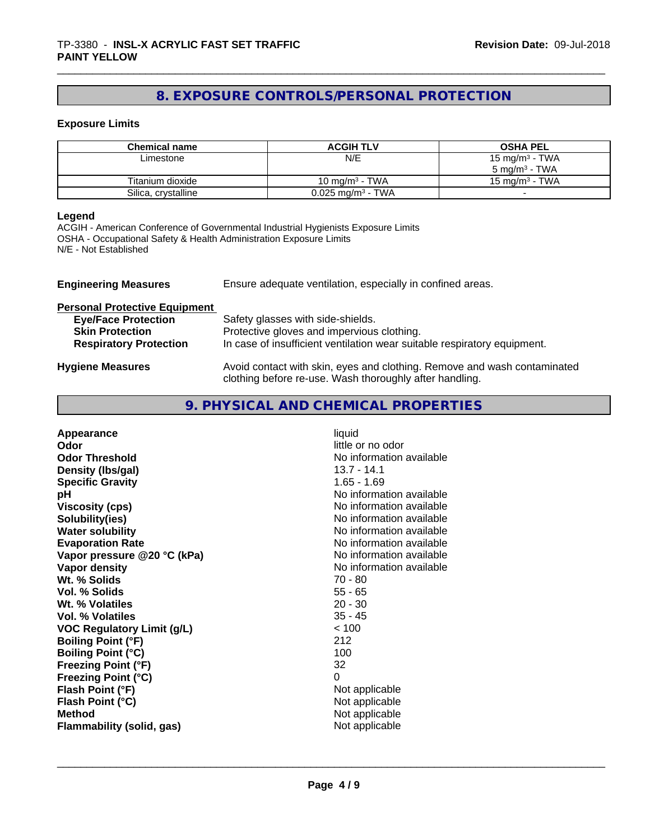# **8. EXPOSURE CONTROLS/PERSONAL PROTECTION**

# **Exposure Limits**

| <b>Chemical name</b> | <b>ACGIH TLV</b>        | <b>OSHA PEL</b>            |
|----------------------|-------------------------|----------------------------|
| Limestone            | N/E                     | 15 mg/m <sup>3</sup> - TWA |
|                      |                         | $5 \text{ ma/m}^3$ - TWA   |
| Titanium dioxide     | 10 mg/m $3$ - TWA       | 15 mg/m $3$ - TWA          |
| Silica, crystalline  | $0.025$ mg/m $^3$ - TWA |                            |

#### **Legend**

ACGIH - American Conference of Governmental Industrial Hygienists Exposure Limits OSHA - Occupational Safety & Health Administration Exposure Limits N/E - Not Established

| <b>Engineering Measures</b>          | Ensure adequate ventilation, especially in confined areas.                                                                          |
|--------------------------------------|-------------------------------------------------------------------------------------------------------------------------------------|
| <b>Personal Protective Equipment</b> |                                                                                                                                     |
| <b>Eye/Face Protection</b>           | Safety glasses with side-shields.                                                                                                   |
| <b>Skin Protection</b>               | Protective gloves and impervious clothing.                                                                                          |
| <b>Respiratory Protection</b>        | In case of insufficient ventilation wear suitable respiratory equipment.                                                            |
| <b>Hygiene Measures</b>              | Avoid contact with skin, eyes and clothing. Remove and wash contaminated<br>clothing before re-use. Wash thoroughly after handling. |

# **9. PHYSICAL AND CHEMICAL PROPERTIES**

| No information available<br><b>Viscosity (cps)</b><br>No information available<br>Solubility(ies)<br>No information available<br><b>Water solubility</b><br><b>Evaporation Rate</b><br>No information available<br>No information available<br>Vapor pressure @20 °C (kPa)<br>No information available<br>Vapor density<br>Wt. % Solids<br>$70 - 80$<br>$55 - 65$<br>Vol. % Solids<br>$20 - 30$<br>Wt. % Volatiles<br>$35 - 45$<br>Vol. % Volatiles<br>< 100<br><b>VOC Regulatory Limit (g/L)</b><br><b>Boiling Point (°F)</b><br>212<br>100<br><b>Boiling Point (°C)</b><br>32<br><b>Freezing Point (°F)</b><br>0<br><b>Freezing Point (°C)</b><br>Flash Point (°F)<br>Not applicable<br>Not applicable<br>Flash Point (°C)<br><b>Method</b><br>Not applicable<br>Not applicable<br><b>Flammability (solid, gas)</b> |
|-----------------------------------------------------------------------------------------------------------------------------------------------------------------------------------------------------------------------------------------------------------------------------------------------------------------------------------------------------------------------------------------------------------------------------------------------------------------------------------------------------------------------------------------------------------------------------------------------------------------------------------------------------------------------------------------------------------------------------------------------------------------------------------------------------------------------|
|-----------------------------------------------------------------------------------------------------------------------------------------------------------------------------------------------------------------------------------------------------------------------------------------------------------------------------------------------------------------------------------------------------------------------------------------------------------------------------------------------------------------------------------------------------------------------------------------------------------------------------------------------------------------------------------------------------------------------------------------------------------------------------------------------------------------------|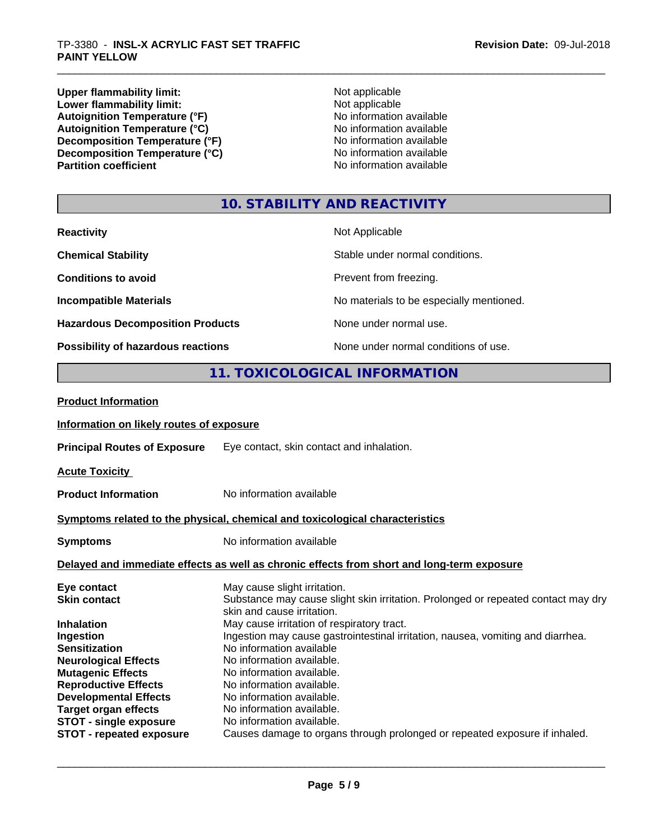**Upper flammability limit:** Not applicable **Not applicable** Applicable **Lower flammability limit:** Not applicable **Not applicable** Autoignition Temperature (°F)<br>
Autoignition Temperature (°C)<br>
No information available<br>
No information available Autoignition Temperature (°C)<br>
Decomposition Temperature (°F)<br>
No information available **Decomposition Temperature (°F)**<br> **Decomposition Temperature (°C)**<br>
No information available<br>
No information available **Decomposition Temperature (°C) Partition coefficient** 

# **10. STABILITY AND REACTIVITY**

| <b>Reactivity</b>                       | Not Applicable                           |
|-----------------------------------------|------------------------------------------|
| <b>Chemical Stability</b>               | Stable under normal conditions.          |
| <b>Conditions to avoid</b>              | Prevent from freezing.                   |
| <b>Incompatible Materials</b>           | No materials to be especially mentioned. |
| <b>Hazardous Decomposition Products</b> | None under normal use.                   |
| Possibility of hazardous reactions      | None under normal conditions of use.     |

# **11. TOXICOLOGICAL INFORMATION**

| <b>Product Information</b>               |                                                                                                                 |
|------------------------------------------|-----------------------------------------------------------------------------------------------------------------|
| Information on likely routes of exposure |                                                                                                                 |
| <b>Principal Routes of Exposure</b>      | Eye contact, skin contact and inhalation.                                                                       |
| <b>Acute Toxicity</b>                    |                                                                                                                 |
| <b>Product Information</b>               | No information available                                                                                        |
|                                          | Symptoms related to the physical, chemical and toxicological characteristics                                    |
| <b>Symptoms</b>                          | No information available                                                                                        |
|                                          | Delayed and immediate effects as well as chronic effects from short and long-term exposure                      |
| Eye contact                              | May cause slight irritation.                                                                                    |
| <b>Skin contact</b>                      | Substance may cause slight skin irritation. Prolonged or repeated contact may dry<br>skin and cause irritation. |
| <b>Inhalation</b>                        | May cause irritation of respiratory tract.                                                                      |
| Ingestion                                | Ingestion may cause gastrointestinal irritation, nausea, vomiting and diarrhea.                                 |
| <b>Sensitization</b>                     | No information available                                                                                        |
| <b>Neurological Effects</b>              | No information available.                                                                                       |
| <b>Mutagenic Effects</b>                 | No information available.                                                                                       |
| <b>Reproductive Effects</b>              | No information available.                                                                                       |
| <b>Developmental Effects</b>             | No information available.                                                                                       |
| <b>Target organ effects</b>              | No information available.                                                                                       |
| <b>STOT - single exposure</b>            | No information available.                                                                                       |
| <b>STOT - repeated exposure</b>          | Causes damage to organs through prolonged or repeated exposure if inhaled.                                      |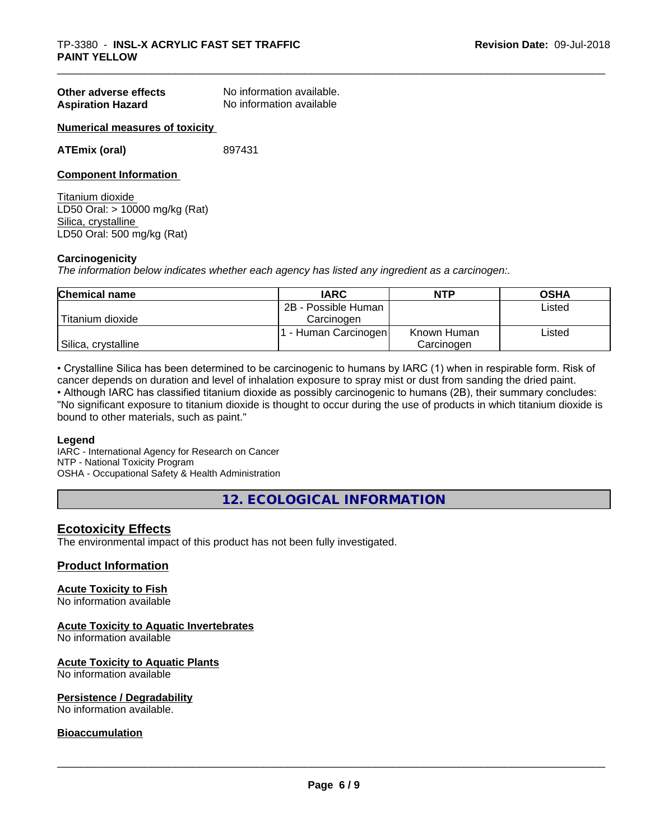| Other adverse effects    | No information available. |
|--------------------------|---------------------------|
| <b>Aspiration Hazard</b> | No information available  |

#### **Numerical measures of toxicity**

**ATEmix (oral)** 897431

#### **Component Information**

Titanium dioxide LD50 Oral: > 10000 mg/kg (Rat) Silica, crystalline LD50 Oral: 500 mg/kg (Rat)

#### **Carcinogenicity**

*The information below indicateswhether each agency has listed any ingredient as a carcinogen:.*

| <b>Chemical name</b> | <b>IARC</b>         | <b>NTP</b>  | <b>OSHA</b> |
|----------------------|---------------------|-------------|-------------|
|                      | 2B - Possible Human |             | Listed      |
| Titanium dioxide     | Carcinoɑen          |             |             |
|                      | - Human Carcinogen  | Known Human | Listed      |
| Silica, crystalline  |                     | Carcinogen  |             |

• Crystalline Silica has been determined to be carcinogenic to humans by IARC (1) when in respirable form. Risk of cancer depends on duration and level of inhalation exposure to spray mist or dust from sanding the dried paint.

• Although IARC has classified titanium dioxide as possibly carcinogenic to humans (2B), their summary concludes: "No significant exposure to titanium dioxide is thought to occur during the use of products in which titanium dioxide is bound to other materials, such as paint."

#### **Legend**

IARC - International Agency for Research on Cancer NTP - National Toxicity Program OSHA - Occupational Safety & Health Administration

**12. ECOLOGICAL INFORMATION**

## **Ecotoxicity Effects**

The environmental impact of this product has not been fully investigated.

## **Product Information**

#### **Acute Toxicity to Fish**

No information available

#### **Acute Toxicity to Aquatic Invertebrates**

No information available

#### **Acute Toxicity to Aquatic Plants** No information available

# **Persistence / Degradability**

No information available.

# **Bioaccumulation**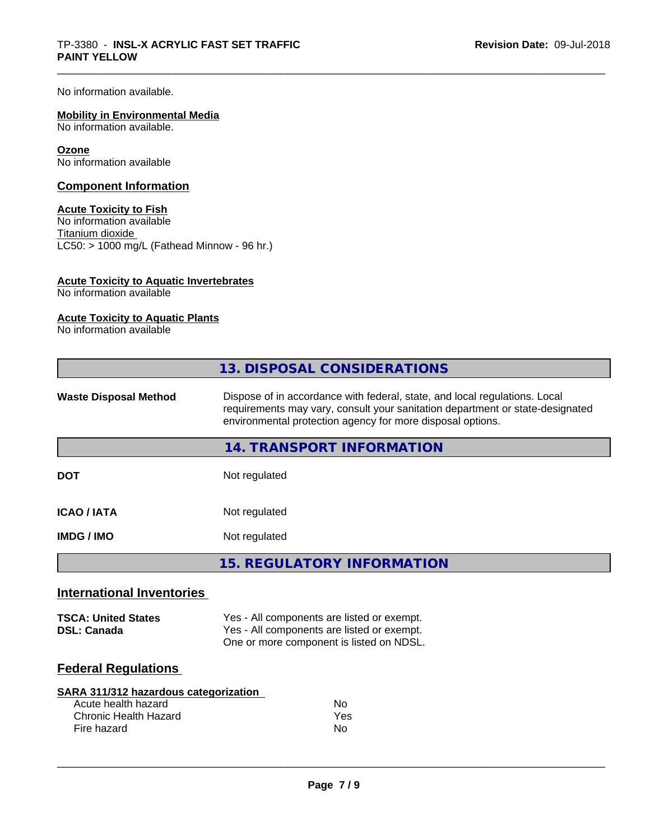No information available.

# **Mobility in Environmental Media**

No information available.

#### **Ozone**

No information available

# **Component Information**

# **Acute Toxicity to Fish**

No information available Titanium dioxide  $\overline{\text{LC50:}}$  > 1000 mg/L (Fathead Minnow - 96 hr.)

# **Acute Toxicity to Aquatic Invertebrates**

No information available

# **Acute Toxicity to Aquatic Plants**

No information available

| Dispose of in accordance with federal, state, and local regulations. Local<br><b>Waste Disposal Method</b><br>requirements may vary, consult your sanitation department or state-designated<br>environmental protection agency for more disposal options. |
|-----------------------------------------------------------------------------------------------------------------------------------------------------------------------------------------------------------------------------------------------------------|
|                                                                                                                                                                                                                                                           |
| 14. TRANSPORT INFORMATION                                                                                                                                                                                                                                 |
| <b>DOT</b><br>Not regulated                                                                                                                                                                                                                               |
| <b>ICAO / IATA</b><br>Not regulated                                                                                                                                                                                                                       |
| Not regulated<br><b>IMDG / IMO</b>                                                                                                                                                                                                                        |
| <b>15. REGULATORY INFORMATION</b>                                                                                                                                                                                                                         |
| <b>International Inventories</b>                                                                                                                                                                                                                          |
| Yes - All components are listed or exempt.<br><b>TSCA: United States</b><br>Yes - All components are listed or exempt.<br><b>DSL: Canada</b><br>One or more component is listed on NDSL.                                                                  |
| <b>Federal Regulations</b>                                                                                                                                                                                                                                |
| <b>SARA 311/312 hazardous categorization</b>                                                                                                                                                                                                              |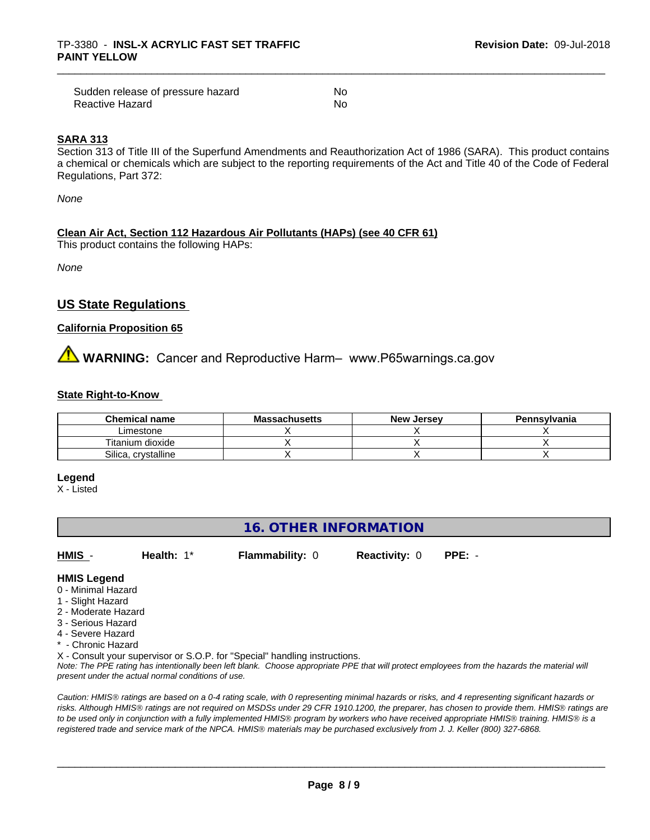| Sudden release of pressure hazard | No |
|-----------------------------------|----|
| Reactive Hazard                   | Nο |

#### **SARA 313**

Section 313 of Title III of the Superfund Amendments and Reauthorization Act of 1986 (SARA). This product contains a chemical or chemicals which are subject to the reporting requirements of the Act and Title 40 of the Code of Federal Regulations, Part 372:

*None*

## **Clean Air Act,Section 112 Hazardous Air Pollutants (HAPs) (see 40 CFR 61)**

This product contains the following HAPs:

*None*

# **US State Regulations**

## **California Proposition 65**

# **AN** WARNING: Cancer and Reproductive Harm– www.P65warnings.ca.gov

#### **State Right-to-Know**

| <b>Chemical name</b>   | Massachusetts | <b>New Jersey</b> | Pennsylvania |
|------------------------|---------------|-------------------|--------------|
| ∟imestone              |               |                   |              |
| Titanium dioxide       |               |                   |              |
| Silica,<br>crystalline |               |                   |              |

#### **Legend**

X - Listed

# **16. OTHER INFORMATION**

**HMIS** - **Health:** 1\* **Flammability:** 0 **Reactivity:** 0 **PPE:** -

# **HMIS Legend**

- 0 Minimal Hazard
- 1 Slight Hazard
- 2 Moderate Hazard
- 3 Serious Hazard
- 4 Severe Hazard
- \* Chronic Hazard
- X Consult your supervisor or S.O.P. for "Special" handling instructions.

*Note: The PPE rating has intentionally been left blank. Choose appropriate PPE that will protect employees from the hazards the material will present under the actual normal conditions of use.*

*Caution: HMISÒ ratings are based on a 0-4 rating scale, with 0 representing minimal hazards or risks, and 4 representing significant hazards or risks. Although HMISÒ ratings are not required on MSDSs under 29 CFR 1910.1200, the preparer, has chosen to provide them. HMISÒ ratings are to be used only in conjunction with a fully implemented HMISÒ program by workers who have received appropriate HMISÒ training. HMISÒ is a registered trade and service mark of the NPCA. HMISÒ materials may be purchased exclusively from J. J. Keller (800) 327-6868.*